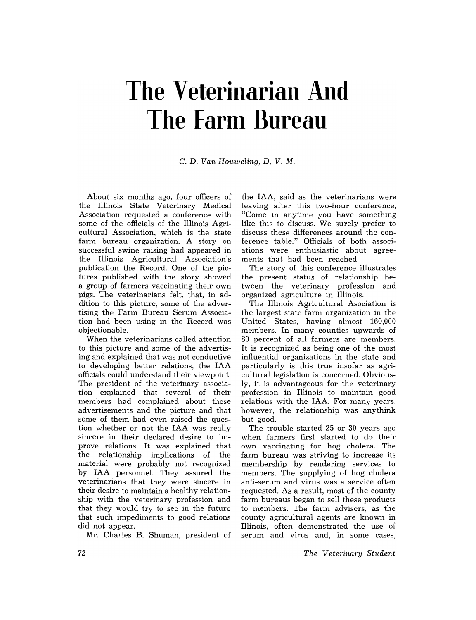## **The Veterinarian And The Farm Bureau**

C. D. *Van Houweling,* D. *V.* M.

About six months ago, four officers of the Illinois State Veterinary Medical Association requested a conference with some of the officials of the Illinois Agricultural Association, which is the state farm bureau organization. A story on successful swine raising had appeared in the Illinois Agricultural Association's publication the Record. One of the pictures published with the story showed a group of farmers vaccinating their own pigs. The veterinarians felt, that, in addition to this picture, some of the advertising the Farm Bureau Serum Association had been using in the Record was objectionable.

When the veterinarians called attention to this picture and some of the advertising and explained that was not conductive to developing better relations, the IAA officials could understand their viewpoint. The president of the veterinary association explained that several of their members had complained about these advertisements and the picture and that some of them had even raised the question whether or not the IAA was really sincere in their declared desire to improve relations. It was explained that the relationship implications of the material were probably not recognized by IAA personnel. They assured the veterinarians that they were sincere in their desire to maintain a healthy relationship with the veterinary profession and that they would try to see in the future that such impediments to good relations did not appear.

Mr. Charles B. Shuman, president of

the IAA, said as the veterinarians were leaving after this two-hour conference, "Come in anytime you have something like this to discuss. We surely prefer to discuss these differences around the conference table." Officials of both associations were enthusiastic about agreements that had been reached.

The story of this conference illustrates the present status of relationship between the veterinary profession and organized agriculture in Illinois.

The Illinois Agricultural Asociation is the largest state farm organization in the United States, having almost 160,000 members. In many counties upwards of 80 percent of all farmers are members. It is recognized as being one of the most influential organizations in the state and particularly is this true insofar as agricultural legislation is concerned. Obviously, it is advantageous for the veterinary profession in Illinois to maintain good relations with the IAA. For many years, however, the relationship was anythink but good.

The trouble started 25 or 30 years ago when farmers first started to do their own vaccinating for hog cholera. The farm bureau was striving to increase its membership by rendering services to members. The supplying of hog cholera anti-serum and virus was a service often requested. As a result, most of the county farm bureaus began to sell these products to members. The farm advisers, as the county agricultural agents are known in Illinois, often demonstrated the use of serum and virus and, in some cases,

*The Veterinary Student*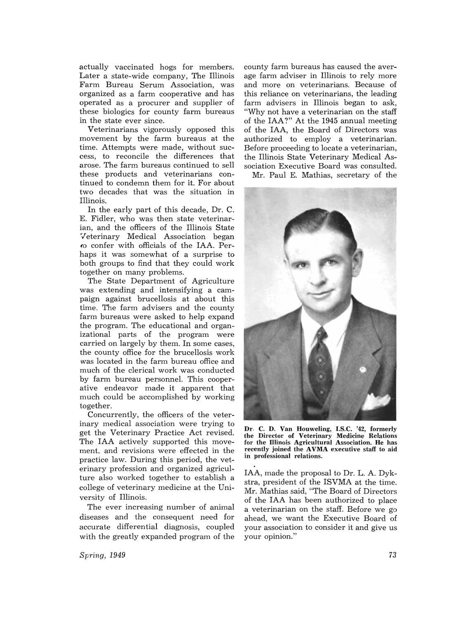actually vaccinated hogs for members. Later a state-wide company, The Illinois Farm Bureau Serum Association, was organized as a farm cooperative and has operated as a procurer and supplier of these biologics for county farm bureaus in the state ever since.

Veterinarians vigorously opposed this movement by the farm bureaus at the time. Attempts were made, without success, to reconcile the differences that arose. The farm bureaus continued to sell these products and veterinarians continued to condemn them for it. For about two decades that was the situation in Illinois.

In the early part of this decade, Dr. C. E. Fidler, who was then state veterinarian, and the officers of the Illinois State Veterinary Medical Association began *{O* confer with officials of the IAA. Perhaps it was somewhat of a surprise to both groups to find that they could work together on many problems.

The State Department of Agriculture was extending and intensifying a campaign against brucellosis at about this time. The farm advisers and the county farm bureaus were asked to help expand the program. The educational and organizational parts of the program were carried on largely by them. In some cases, the county office for the brucellosis work was located in the farm bureau office and much of the clerical work was conducted by farm bureau personnel. This cooperative endeavor made it apparent that much could be accomplished by working together.

Concurrently, the officers of the veterinary medical association were trying to get the Veterinary Practice Act revised. The IAA actively supported this movement, and revisions were effected in the practice law. During this period, the veterinary profession and organized agriculture also worked together to establish a college of veterinary medicine at the University of Illinois.

The ever increasing number of animal diseases and the consequent need for accurate differential diagnosis, coupled with the greatly expanded program of the

county farm bureaus has caused the average farm adviser in Illinois to rely more and more on veterinarians. Because of this reliance on veterinarians, the leading farm advisers in Illinois began to ask, "Why not have a veterinarian on the staff of the IAA?" At the 1945 annual meeting of the IAA, the Board of Directors was authorized to employ a veterinarian. Before proceeding to locate a veterinarian, the Illinois State Veterinary Medical Association Executive Board was consulted.

Mr. Paul E. Mathias, secretary of the



Dr. C. D. Van Houweling, I.S.C. '42, formerly the Director of Veterinary Medicine Relations for the Illinois Agricultural Association. He has recently joined the AVMA executive staff to aid in professional relations.

IAA, made the proposal to Dr. L. A. Dykstra, president of the ISVMA at the time. Mr. Mathias said, "The Board of Directors of the IAA has been authorized to place a veterinarian on the staff. Before we go ahead, we want the Executive Board of your association to consider it and give us vour opinion."

*Spring, 1949*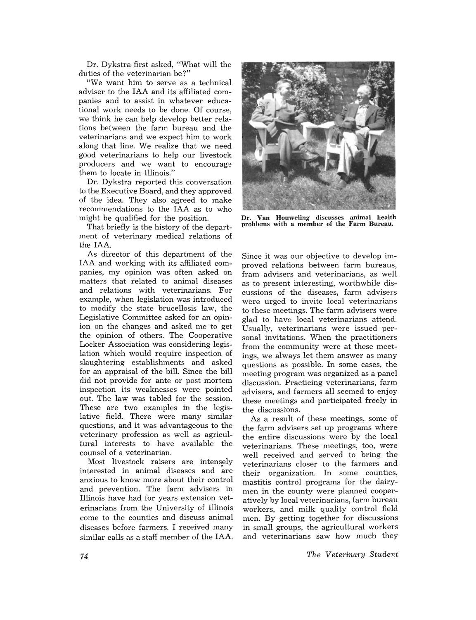Dr. Dykstra first asked, "What will the duties of the veterinarian be?"

"We want him to serve as a technical adviser to the IAA and its affiliated companies and to assist in whatever educational work needs to be done. Of course, we think he can help develop better relations between the farm bureau and the veterinarians and we expect him to work along that line. We realize that we need good veterinarians to help our livestock producers and we want to encourage them to locate in Illinois."

Dr. Dykstra reported this conversation to the Executive Board, and they approved of the idea. They also agreed to make recommendations to the IAA as to who might be qualified for the position.

That briefly is the history of the department of veterinary medical relations of the IAA.

As director of this department of the IAA and working with its affiliated companies, my opinion was often asked on matters that related to animal diseases and relations with veterinarians. For example, when legislation was introduced to modify the state brucellosis law, the Legislative Committee asked for an opinion on the changes and asked me to get the opinion of others. The Cooperative Locker Association was considering legislation which would require inspection of slaughtering establishments and asked for an appraisal of the bill. Since the bill did not provide for ante or post mortem inspection its weaknesses were pointed out. The law was tabled for the session. These are two examples in the legislative field. There were many similar questions, and it was advantageous to the veterinary profession as well as agricultural interests to have available the counsel of a veterinarian.

Most livestock raisers are intensely interested in animal diseases and are anxious to know more about their control and prevention. The farm advisers in Illinois have had for years extension veterinarians from the University of Illinois come to the counties and discuss animal diseases before farmers. I received many similar calls as a staff member of the IAA.



Dr. Van Houweling discusses animal health problems with a member of the Farm Bureau.

Since it was our objective to develop improved relations between farm bureaus, fram advisers and veterinarians, as well as to present interesting, worthwhile discussions of the diseases, farm advisers were urged to invite local veterinarians to these meetings. The farm advisers were glad to have local veterinarians attend. Usually, veterinarians were issued personal invitations. When the practitioners from the community were at these meetings, we always let them answer as many questions as possible. In some cases, the meeting program was organized as a panel discussion. Practicing veterinarians, farm advisers, and farmers all seemed to enjoy these meetings and participated freely in the discussions.

As a result of these meetings, some of the farm advisers set up programs where the entire discussions were by the local veterinarians. These meetings, too, were well received and served to bring the veterinarians closer to the farmers and their organization. In some counties, mastitis control programs for the dairymen in the county were planned cooperatively by local veterinarians, farm bureau workers, and milk quality control field men. By getting together for discussions in small groups, the agricultural workers and veterinarians saw how much they